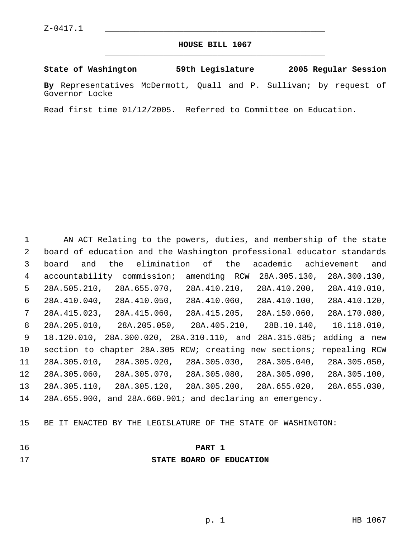#### **HOUSE BILL 1067** \_\_\_\_\_\_\_\_\_\_\_\_\_\_\_\_\_\_\_\_\_\_\_\_\_\_\_\_\_\_\_\_\_\_\_\_\_\_\_\_\_\_\_\_\_

**State of Washington 59th Legislature 2005 Regular Session**

**By** Representatives McDermott, Quall and P. Sullivan; by request of Governor Locke

Read first time 01/12/2005. Referred to Committee on Education.

 AN ACT Relating to the powers, duties, and membership of the state board of education and the Washington professional educator standards board and the elimination of the academic achievement and accountability commission; amending RCW 28A.305.130, 28A.300.130, 28A.505.210, 28A.655.070, 28A.410.210, 28A.410.200, 28A.410.010, 28A.410.040, 28A.410.050, 28A.410.060, 28A.410.100, 28A.410.120, 28A.415.023, 28A.415.060, 28A.415.205, 28A.150.060, 28A.170.080, 28A.205.010, 28A.205.050, 28A.405.210, 28B.10.140, 18.118.010, 18.120.010, 28A.300.020, 28A.310.110, and 28A.315.085; adding a new section to chapter 28A.305 RCW; creating new sections; repealing RCW 28A.305.010, 28A.305.020, 28A.305.030, 28A.305.040, 28A.305.050, 28A.305.060, 28A.305.070, 28A.305.080, 28A.305.090, 28A.305.100, 28A.305.110, 28A.305.120, 28A.305.200, 28A.655.020, 28A.655.030, 28A.655.900, and 28A.660.901; and declaring an emergency.

BE IT ENACTED BY THE LEGISLATURE OF THE STATE OF WASHINGTON:

# **PART 1**

## **STATE BOARD OF EDUCATION**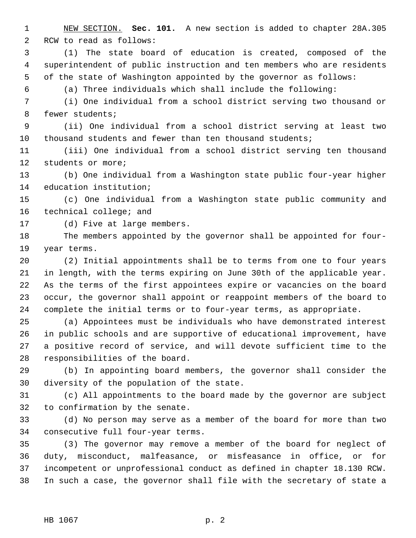NEW SECTION. **Sec. 101.** A new section is added to chapter 28A.305 RCW to read as follows:

 (1) The state board of education is created, composed of the superintendent of public instruction and ten members who are residents of the state of Washington appointed by the governor as follows:

(a) Three individuals which shall include the following:

 (i) One individual from a school district serving two thousand or fewer students;

 (ii) One individual from a school district serving at least two thousand students and fewer than ten thousand students;

 (iii) One individual from a school district serving ten thousand students or more;

 (b) One individual from a Washington state public four-year higher education institution;

 (c) One individual from a Washington state public community and 16 technical college; and

(d) Five at large members.

 The members appointed by the governor shall be appointed for four-year terms.

 (2) Initial appointments shall be to terms from one to four years in length, with the terms expiring on June 30th of the applicable year. As the terms of the first appointees expire or vacancies on the board occur, the governor shall appoint or reappoint members of the board to complete the initial terms or to four-year terms, as appropriate.

 (a) Appointees must be individuals who have demonstrated interest in public schools and are supportive of educational improvement, have a positive record of service, and will devote sufficient time to the responsibilities of the board.

 (b) In appointing board members, the governor shall consider the diversity of the population of the state.

 (c) All appointments to the board made by the governor are subject to confirmation by the senate.

 (d) No person may serve as a member of the board for more than two consecutive full four-year terms.

 (3) The governor may remove a member of the board for neglect of duty, misconduct, malfeasance, or misfeasance in office, or for incompetent or unprofessional conduct as defined in chapter 18.130 RCW. In such a case, the governor shall file with the secretary of state a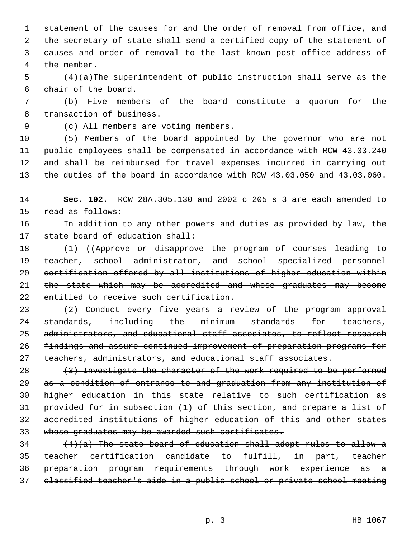statement of the causes for and the order of removal from office, and the secretary of state shall send a certified copy of the statement of causes and order of removal to the last known post office address of the member.

 (4)(a)The superintendent of public instruction shall serve as the chair of the board.

 (b) Five members of the board constitute a quorum for the transaction of business.

(c) All members are voting members.

 (5) Members of the board appointed by the governor who are not public employees shall be compensated in accordance with RCW 43.03.240 and shall be reimbursed for travel expenses incurred in carrying out the duties of the board in accordance with RCW 43.03.050 and 43.03.060.

 **Sec. 102.** RCW 28A.305.130 and 2002 c 205 s 3 are each amended to read as follows:

 In addition to any other powers and duties as provided by law, the state board of education shall:

 (1) ((Approve or disapprove the program of courses leading to 19 teacher, school administrator, and school specialized personnel certification offered by all institutions of higher education within 21 the state which may be accredited and whose graduates may become 22 entitled to receive such certification.

 $(2)$  Conduct every five years a review of the program approval standards, including the minimum standards for teachers, administrators, and educational staff associates, to reflect research findings and assure continued improvement of preparation programs for 27 teachers, administrators, and educational staff associates.

 $(3)$  Investigate the character of the work required to be performed 29 as a condition of entrance to and graduation from any institution of higher education in this state relative to such certification as provided for in subsection (1) of this section, and prepare a list of accredited institutions of higher education of this and other states whose graduates may be awarded such certificates.

  $(4)(a)$  The state board of education shall adopt rules to allow a teacher certification candidate to fulfill, in part, teacher preparation program requirements through work experience as a classified teacher's aide in a public school or private school meeting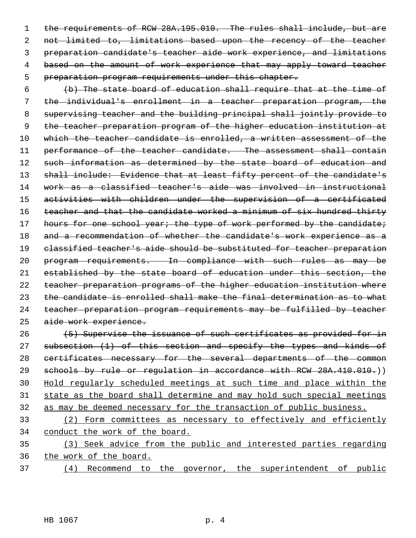1 the requirements of RCW 28A.195.010. The rules shall include, but are not limited to, limitations based upon the recency of the teacher preparation candidate's teacher aide work experience, and limitations 4 based on the amount of work experience that may apply toward teacher preparation program requirements under this chapter.

 (b) The state board of education shall require that at the time of the individual's enrollment in a teacher preparation program, the supervising teacher and the building principal shall jointly provide to the teacher preparation program of the higher education institution at 10 which the teacher candidate is enrolled, a written assessment of the performance of the teacher candidate. The assessment shall contain 12 such information as determined by the state board of education and 13 shall include: Evidence that at least fifty percent of the candidate's work as a classified teacher's aide was involved in instructional activities with children under the supervision of a certificated 16 teacher and that the candidate worked a minimum of six hundred thirty 17 hours for one school year; the type of work performed by the candidate; 18 and a recommendation of whether the candidate's work experience as a 19 classified teacher's aide should be substituted for teacher preparation program requirements. In compliance with such rules as may be established by the state board of education under this section, the teacher preparation programs of the higher education institution where the candidate is enrolled shall make the final determination as to what teacher preparation program requirements may be fulfilled by teacher aide work experience.

26 (5) Supervise the issuance of such certificates as provided for in 27 subsection (1) of this section and specify the types and kinds of 28 certificates necessary for the several departments of the common 29 schools by rule or requiation in accordance with RCW 28A.410.010.) Hold regularly scheduled meetings at such time and place within the state as the board shall determine and may hold such special meetings as may be deemed necessary for the transaction of public business.

 (2) Form committees as necessary to effectively and efficiently conduct the work of the board.

 (3) Seek advice from the public and interested parties regarding the work of the board.

(4) Recommend to the governor, the superintendent of public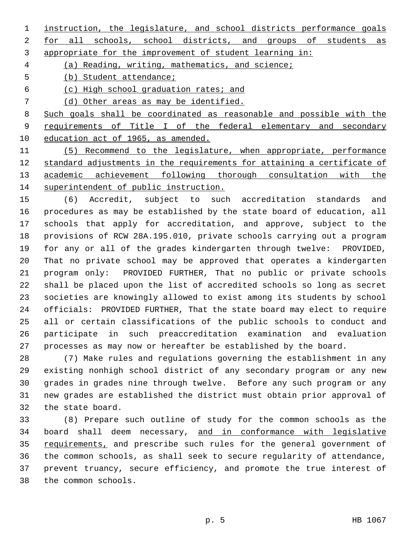instruction, the legislature, and school districts performance goals

2 for all schools, school districts, and groups of students as appropriate for the improvement of student learning in:

(a) Reading, writing, mathematics, and science;

(b) Student attendance;

(c) High school graduation rates; and

(d) Other areas as may be identified.

 Such goals shall be coordinated as reasonable and possible with the 9 requirements of Title I of the federal elementary and secondary education act of 1965, as amended.

 (5) Recommend to the legislature, when appropriate, performance standard adjustments in the requirements for attaining a certificate of academic achievement following thorough consultation with the superintendent of public instruction.

 (6) Accredit, subject to such accreditation standards and procedures as may be established by the state board of education, all schools that apply for accreditation, and approve, subject to the provisions of RCW 28A.195.010, private schools carrying out a program for any or all of the grades kindergarten through twelve: PROVIDED, That no private school may be approved that operates a kindergarten program only: PROVIDED FURTHER, That no public or private schools shall be placed upon the list of accredited schools so long as secret societies are knowingly allowed to exist among its students by school officials: PROVIDED FURTHER, That the state board may elect to require all or certain classifications of the public schools to conduct and participate in such preaccreditation examination and evaluation processes as may now or hereafter be established by the board.

 (7) Make rules and regulations governing the establishment in any existing nonhigh school district of any secondary program or any new grades in grades nine through twelve. Before any such program or any new grades are established the district must obtain prior approval of the state board.

 (8) Prepare such outline of study for the common schools as the board shall deem necessary, and in conformance with legislative 35 requirements, and prescribe such rules for the general government of the common schools, as shall seek to secure regularity of attendance, prevent truancy, secure efficiency, and promote the true interest of the common schools.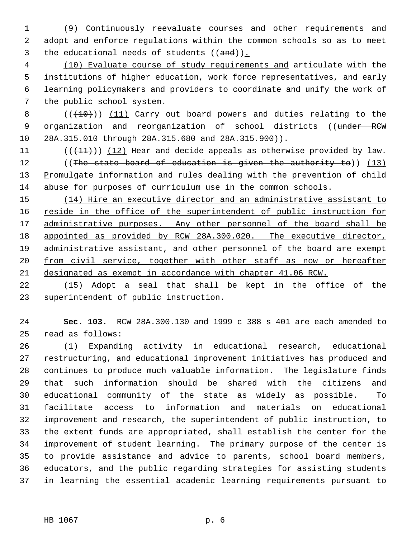(9) Continuously reevaluate courses and other requirements and adopt and enforce regulations within the common schools so as to meet 3 the educational needs of students  $((and))$ .

 (10) Evaluate course of study requirements and articulate with the 5 institutions of higher education, work force representatives, and early learning policymakers and providers to coordinate and unify the work of the public school system.

8 (( $(10)$ )) (11) Carry out board powers and duties relating to the 9 organization and reorganization of school districts ((under RCW 28A.315.010 through 28A.315.680 and 28A.315.900)).

11  $((+11))$   $(12)$  Hear and decide appeals as otherwise provided by law. 12 ((The state board of education is given the authority to)) (13) 13 Promulgate information and rules dealing with the prevention of child abuse for purposes of curriculum use in the common schools.

 (14) Hire an executive director and an administrative assistant to 16 reside in the office of the superintendent of public instruction for 17 administrative purposes. Any other personnel of the board shall be 18 appointed as provided by RCW 28A.300.020. The executive director, administrative assistant, and other personnel of the board are exempt 20 from civil service, together with other staff as now or hereafter designated as exempt in accordance with chapter 41.06 RCW.

 (15) Adopt a seal that shall be kept in the office of the superintendent of public instruction.

 **Sec. 103.** RCW 28A.300.130 and 1999 c 388 s 401 are each amended to read as follows:

 (1) Expanding activity in educational research, educational restructuring, and educational improvement initiatives has produced and continues to produce much valuable information. The legislature finds that such information should be shared with the citizens and educational community of the state as widely as possible. To facilitate access to information and materials on educational improvement and research, the superintendent of public instruction, to the extent funds are appropriated, shall establish the center for the improvement of student learning. The primary purpose of the center is to provide assistance and advice to parents, school board members, educators, and the public regarding strategies for assisting students in learning the essential academic learning requirements pursuant to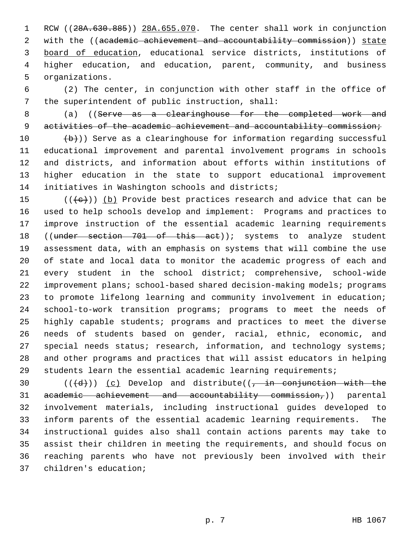1 RCW ((28A.630.885)) 28A.655.070. The center shall work in conjunction 2 with the ((academic achievement and accountability commission)) state board of education, educational service districts, institutions of higher education, and education, parent, community, and business organizations.

 (2) The center, in conjunction with other staff in the office of the superintendent of public instruction, shall:

8 (a) ((Serve as a clearinghouse for the completed work and 9 activities of the academic achievement and accountability commission;

 $(b)$ ) Serve as a clearinghouse for information regarding successful educational improvement and parental involvement programs in schools and districts, and information about efforts within institutions of higher education in the state to support educational improvement initiatives in Washington schools and districts;

15 ( $(\langle e \rangle)$ ) (b) Provide best practices research and advice that can be used to help schools develop and implement: Programs and practices to improve instruction of the essential academic learning requirements 18 ((under section 701 of this act)); systems to analyze student assessment data, with an emphasis on systems that will combine the use of state and local data to monitor the academic progress of each and every student in the school district; comprehensive, school-wide improvement plans; school-based shared decision-making models; programs to promote lifelong learning and community involvement in education; school-to-work transition programs; programs to meet the needs of highly capable students; programs and practices to meet the diverse needs of students based on gender, racial, ethnic, economic, and 27 special needs status; research, information, and technology systems; and other programs and practices that will assist educators in helping students learn the essential academic learning requirements;

 $((\{d\})\)$  (c) Develop and distribute((, in conjunction with the academic achievement and accountability commission,)) parental involvement materials, including instructional guides developed to inform parents of the essential academic learning requirements. The instructional guides also shall contain actions parents may take to assist their children in meeting the requirements, and should focus on reaching parents who have not previously been involved with their children's education;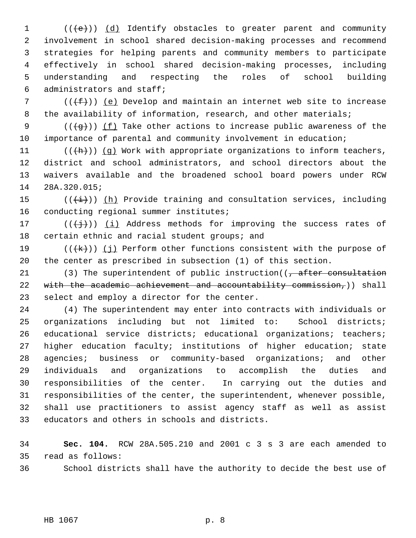1 (((e)) (d) Identify obstacles to greater parent and community involvement in school shared decision-making processes and recommend strategies for helping parents and community members to participate effectively in school shared decision-making processes, including understanding and respecting the roles of school building administrators and staff;

7 ( $(\{\text{f}\})$ ) (e) Develop and maintain an internet web site to increase 8 the availability of information, research, and other materials;

9 ( $(\frac{1}{9})$ ) (f) Take other actions to increase public awareness of the importance of parental and community involvement in education;

 $((+h))$   $(g)$  Work with appropriate organizations to inform teachers, district and school administrators, and school directors about the waivers available and the broadened school board powers under RCW 28A.320.015;

15 ( $(\frac{1}{1})$ ) (h) Provide training and consultation services, including 16 conducting regional summer institutes;

17 ( $(\frac{1}{1})$ ) (i) Address methods for improving the success rates of 18 certain ethnic and racial student groups; and

19  $((\{k\})$   $(j)$  Perform other functions consistent with the purpose of the center as prescribed in subsection (1) of this section.

21 (3) The superintendent of public instruction( $\sqrt{a}$  efter consultation 22 with the academic achievement and accountability commission,)) shall select and employ a director for the center.

 (4) The superintendent may enter into contracts with individuals or organizations including but not limited to: School districts; educational service districts; educational organizations; teachers; higher education faculty; institutions of higher education; state agencies; business or community-based organizations; and other individuals and organizations to accomplish the duties and responsibilities of the center. In carrying out the duties and responsibilities of the center, the superintendent, whenever possible, shall use practitioners to assist agency staff as well as assist educators and others in schools and districts.

 **Sec. 104.** RCW 28A.505.210 and 2001 c 3 s 3 are each amended to read as follows:

School districts shall have the authority to decide the best use of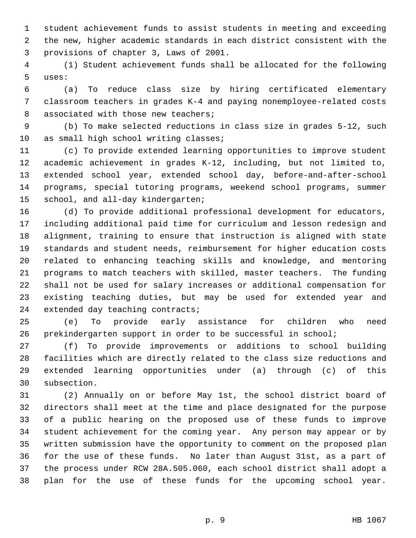student achievement funds to assist students in meeting and exceeding the new, higher academic standards in each district consistent with the provisions of chapter 3, Laws of 2001.

 (1) Student achievement funds shall be allocated for the following uses:

 (a) To reduce class size by hiring certificated elementary classroom teachers in grades K-4 and paying nonemployee-related costs 8 associated with those new teachers;

 (b) To make selected reductions in class size in grades 5-12, such 10 as small high school writing classes;

 (c) To provide extended learning opportunities to improve student academic achievement in grades K-12, including, but not limited to, extended school year, extended school day, before-and-after-school programs, special tutoring programs, weekend school programs, summer school, and all-day kindergarten;

 (d) To provide additional professional development for educators, including additional paid time for curriculum and lesson redesign and alignment, training to ensure that instruction is aligned with state standards and student needs, reimbursement for higher education costs related to enhancing teaching skills and knowledge, and mentoring programs to match teachers with skilled, master teachers. The funding shall not be used for salary increases or additional compensation for existing teaching duties, but may be used for extended year and extended day teaching contracts;

 (e) To provide early assistance for children who need prekindergarten support in order to be successful in school;

 (f) To provide improvements or additions to school building facilities which are directly related to the class size reductions and extended learning opportunities under (a) through (c) of this subsection.

 (2) Annually on or before May 1st, the school district board of directors shall meet at the time and place designated for the purpose of a public hearing on the proposed use of these funds to improve student achievement for the coming year. Any person may appear or by written submission have the opportunity to comment on the proposed plan for the use of these funds. No later than August 31st, as a part of the process under RCW 28A.505.060, each school district shall adopt a plan for the use of these funds for the upcoming school year.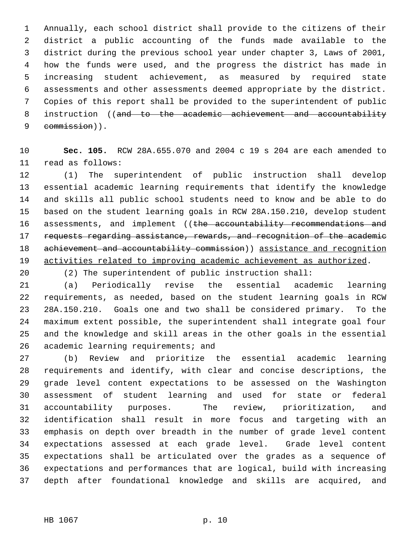Annually, each school district shall provide to the citizens of their district a public accounting of the funds made available to the district during the previous school year under chapter 3, Laws of 2001, how the funds were used, and the progress the district has made in increasing student achievement, as measured by required state assessments and other assessments deemed appropriate by the district. Copies of this report shall be provided to the superintendent of public 8 instruction ((and to the academic achievement and accountability 9 commission)).

 **Sec. 105.** RCW 28A.655.070 and 2004 c 19 s 204 are each amended to read as follows:

 (1) The superintendent of public instruction shall develop essential academic learning requirements that identify the knowledge and skills all public school students need to know and be able to do based on the student learning goals in RCW 28A.150.210, develop student 16 assessments, and implement ((the accountability recommendations and 17 requests regarding assistance, rewards, and recognition of the academic 18 achievement and accountability commission) assistance and recognition activities related to improving academic achievement as authorized.

(2) The superintendent of public instruction shall:

 (a) Periodically revise the essential academic learning requirements, as needed, based on the student learning goals in RCW 28A.150.210. Goals one and two shall be considered primary. To the maximum extent possible, the superintendent shall integrate goal four and the knowledge and skill areas in the other goals in the essential academic learning requirements; and

 (b) Review and prioritize the essential academic learning requirements and identify, with clear and concise descriptions, the grade level content expectations to be assessed on the Washington assessment of student learning and used for state or federal accountability purposes. The review, prioritization, and identification shall result in more focus and targeting with an emphasis on depth over breadth in the number of grade level content expectations assessed at each grade level. Grade level content expectations shall be articulated over the grades as a sequence of expectations and performances that are logical, build with increasing depth after foundational knowledge and skills are acquired, and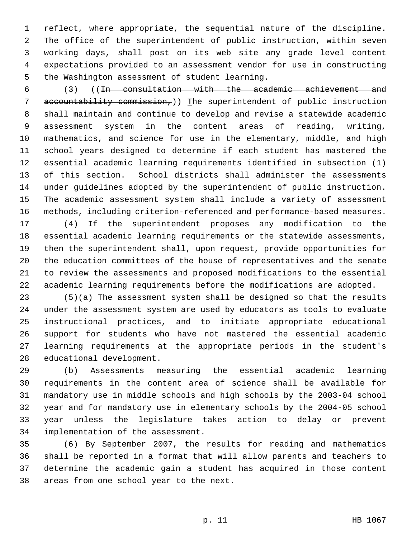reflect, where appropriate, the sequential nature of the discipline. The office of the superintendent of public instruction, within seven working days, shall post on its web site any grade level content expectations provided to an assessment vendor for use in constructing the Washington assessment of student learning.

 (3) ((In consultation with the academic achievement and accountability commission,)) The superintendent of public instruction shall maintain and continue to develop and revise a statewide academic assessment system in the content areas of reading, writing, mathematics, and science for use in the elementary, middle, and high school years designed to determine if each student has mastered the essential academic learning requirements identified in subsection (1) of this section. School districts shall administer the assessments under guidelines adopted by the superintendent of public instruction. The academic assessment system shall include a variety of assessment methods, including criterion-referenced and performance-based measures.

 (4) If the superintendent proposes any modification to the essential academic learning requirements or the statewide assessments, then the superintendent shall, upon request, provide opportunities for the education committees of the house of representatives and the senate to review the assessments and proposed modifications to the essential academic learning requirements before the modifications are adopted.

 (5)(a) The assessment system shall be designed so that the results under the assessment system are used by educators as tools to evaluate instructional practices, and to initiate appropriate educational support for students who have not mastered the essential academic learning requirements at the appropriate periods in the student's educational development.

 (b) Assessments measuring the essential academic learning requirements in the content area of science shall be available for mandatory use in middle schools and high schools by the 2003-04 school year and for mandatory use in elementary schools by the 2004-05 school year unless the legislature takes action to delay or prevent implementation of the assessment.

 (6) By September 2007, the results for reading and mathematics shall be reported in a format that will allow parents and teachers to determine the academic gain a student has acquired in those content areas from one school year to the next.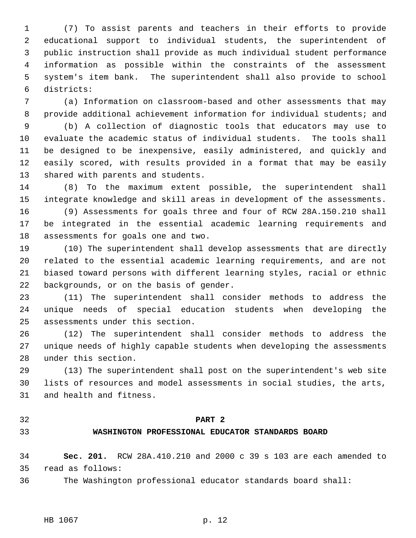(7) To assist parents and teachers in their efforts to provide educational support to individual students, the superintendent of public instruction shall provide as much individual student performance information as possible within the constraints of the assessment system's item bank. The superintendent shall also provide to school districts:

 (a) Information on classroom-based and other assessments that may provide additional achievement information for individual students; and

 (b) A collection of diagnostic tools that educators may use to evaluate the academic status of individual students. The tools shall be designed to be inexpensive, easily administered, and quickly and easily scored, with results provided in a format that may be easily shared with parents and students.

 (8) To the maximum extent possible, the superintendent shall integrate knowledge and skill areas in development of the assessments.

 (9) Assessments for goals three and four of RCW 28A.150.210 shall be integrated in the essential academic learning requirements and assessments for goals one and two.

 (10) The superintendent shall develop assessments that are directly related to the essential academic learning requirements, and are not biased toward persons with different learning styles, racial or ethnic backgrounds, or on the basis of gender.

 (11) The superintendent shall consider methods to address the unique needs of special education students when developing the assessments under this section.

 (12) The superintendent shall consider methods to address the unique needs of highly capable students when developing the assessments under this section.

 (13) The superintendent shall post on the superintendent's web site lists of resources and model assessments in social studies, the arts, and health and fitness.

#### **PART 2**

#### **WASHINGTON PROFESSIONAL EDUCATOR STANDARDS BOARD**

 **Sec. 201.** RCW 28A.410.210 and 2000 c 39 s 103 are each amended to read as follows:

The Washington professional educator standards board shall: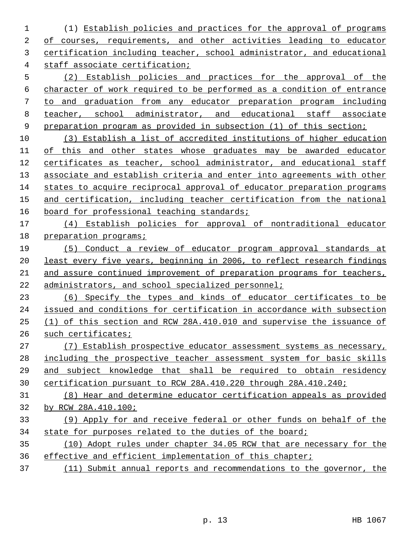(1) Establish policies and practices for the approval of programs of courses, requirements, and other activities leading to educator certification including teacher, school administrator, and educational staff associate certification;

 (2) Establish policies and practices for the approval of the character of work required to be performed as a condition of entrance to and graduation from any educator preparation program including teacher, school administrator, and educational staff associate preparation program as provided in subsection (1) of this section;

 (3) Establish a list of accredited institutions of higher education of this and other states whose graduates may be awarded educator certificates as teacher, school administrator, and educational staff associate and establish criteria and enter into agreements with other states to acquire reciprocal approval of educator preparation programs and certification, including teacher certification from the national 16 board for professional teaching standards;

 (4) Establish policies for approval of nontraditional educator preparation programs;

 (5) Conduct a review of educator program approval standards at least every five years, beginning in 2006, to reflect research findings 21 and assure continued improvement of preparation programs for teachers, administrators, and school specialized personnel;

 (6) Specify the types and kinds of educator certificates to be issued and conditions for certification in accordance with subsection (1) of this section and RCW 28A.410.010 and supervise the issuance of such certificates;

 (7) Establish prospective educator assessment systems as necessary, including the prospective teacher assessment system for basic skills 29 and subject knowledge that shall be required to obtain residency certification pursuant to RCW 28A.410.220 through 28A.410.240;

 (8) Hear and determine educator certification appeals as provided by RCW 28A.410.100;

 (9) Apply for and receive federal or other funds on behalf of the state for purposes related to the duties of the board;

 (10) Adopt rules under chapter 34.05 RCW that are necessary for the effective and efficient implementation of this chapter;

(11) Submit annual reports and recommendations to the governor, the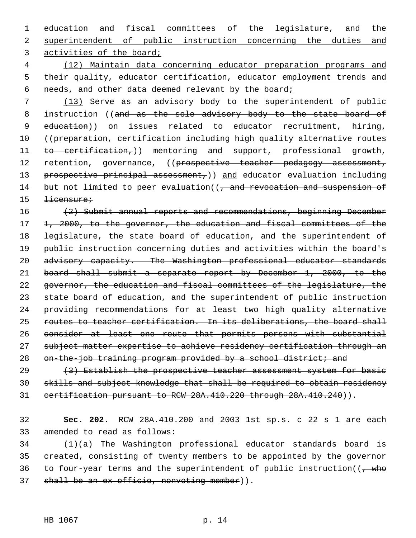education and fiscal committees of the legislature, and the superintendent of public instruction concerning the duties and activities of the board;

 (12) Maintain data concerning educator preparation programs and their quality, educator certification, educator employment trends and needs, and other data deemed relevant by the board;

 (13) Serve as an advisory body to the superintendent of public 8 instruction ((and as the sole advisory body to the state board of 9 education)) on issues related to educator recruitment, hiring, ((preparation, certification including high quality alternative routes 11 to certification,)) mentoring and support, professional growth, 12 retention, governance, ((prospective teacher pedagogy assessment, 13 prospective principal assessment,) and educator evaluation including 14 but not limited to peer evaluation((, and revocation and suspension of 15 <del>licensure;</del>

 (2) Submit annual reports and recommendations, beginning December 1, 2000, to the governor, the education and fiscal committees of the legislature, the state board of education, and the superintendent of public instruction concerning duties and activities within the board's 20 advisory capacity. The Washington professional educator standards board shall submit a separate report by December 1, 2000, to the governor, the education and fiscal committees of the legislature, the 23 state board of education, and the superintendent of public instruction providing recommendations for at least two high quality alternative routes to teacher certification. In its deliberations, the board shall consider at least one route that permits persons with substantial subject matter expertise to achieve residency certification through an 28 on-the-job training program provided by a school district; and

29  $(3)$  Establish the prospective teacher assessment system for basic skills and subject knowledge that shall be required to obtain residency 31 certification pursuant to RCW 28A.410.220 through 28A.410.240)).

 **Sec. 202.** RCW 28A.410.200 and 2003 1st sp.s. c 22 s 1 are each amended to read as follows:

 (1)(a) The Washington professional educator standards board is created, consisting of twenty members to be appointed by the governor 36 to four-year terms and the superintendent of public instruction( $(-$  who 37 shall be an ex officio, nonvoting member)).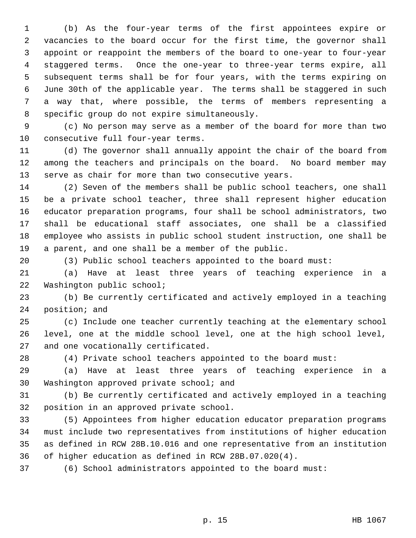(b) As the four-year terms of the first appointees expire or vacancies to the board occur for the first time, the governor shall appoint or reappoint the members of the board to one-year to four-year staggered terms. Once the one-year to three-year terms expire, all subsequent terms shall be for four years, with the terms expiring on June 30th of the applicable year. The terms shall be staggered in such a way that, where possible, the terms of members representing a specific group do not expire simultaneously.

 (c) No person may serve as a member of the board for more than two consecutive full four-year terms.

 (d) The governor shall annually appoint the chair of the board from among the teachers and principals on the board. No board member may serve as chair for more than two consecutive years.

 (2) Seven of the members shall be public school teachers, one shall be a private school teacher, three shall represent higher education educator preparation programs, four shall be school administrators, two shall be educational staff associates, one shall be a classified employee who assists in public school student instruction, one shall be a parent, and one shall be a member of the public.

(3) Public school teachers appointed to the board must:

 (a) Have at least three years of teaching experience in a Washington public school;

 (b) Be currently certificated and actively employed in a teaching position; and

 (c) Include one teacher currently teaching at the elementary school level, one at the middle school level, one at the high school level, and one vocationally certificated.

(4) Private school teachers appointed to the board must:

 (a) Have at least three years of teaching experience in a Washington approved private school; and

 (b) Be currently certificated and actively employed in a teaching position in an approved private school.

 (5) Appointees from higher education educator preparation programs must include two representatives from institutions of higher education as defined in RCW 28B.10.016 and one representative from an institution of higher education as defined in RCW 28B.07.020(4).

(6) School administrators appointed to the board must: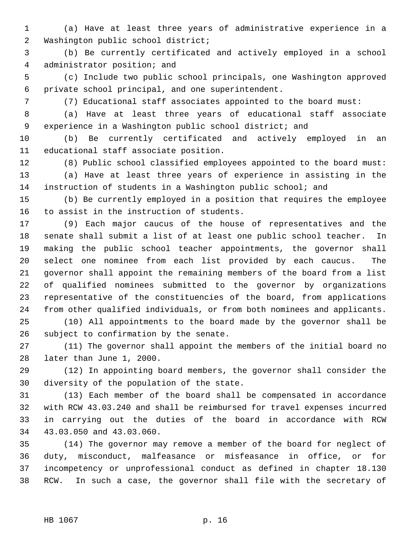(a) Have at least three years of administrative experience in a Washington public school district;

 (b) Be currently certificated and actively employed in a school administrator position; and

 (c) Include two public school principals, one Washington approved private school principal, and one superintendent.

(7) Educational staff associates appointed to the board must:

 (a) Have at least three years of educational staff associate 9 experience in a Washington public school district; and

 (b) Be currently certificated and actively employed in an educational staff associate position.

 (8) Public school classified employees appointed to the board must: (a) Have at least three years of experience in assisting in the instruction of students in a Washington public school; and

 (b) Be currently employed in a position that requires the employee to assist in the instruction of students.

 (9) Each major caucus of the house of representatives and the senate shall submit a list of at least one public school teacher. In making the public school teacher appointments, the governor shall select one nominee from each list provided by each caucus. The governor shall appoint the remaining members of the board from a list of qualified nominees submitted to the governor by organizations representative of the constituencies of the board, from applications from other qualified individuals, or from both nominees and applicants.

 (10) All appointments to the board made by the governor shall be subject to confirmation by the senate.

 (11) The governor shall appoint the members of the initial board no later than June 1, 2000.

 (12) In appointing board members, the governor shall consider the diversity of the population of the state.

 (13) Each member of the board shall be compensated in accordance with RCW 43.03.240 and shall be reimbursed for travel expenses incurred in carrying out the duties of the board in accordance with RCW 43.03.050 and 43.03.060.

 (14) The governor may remove a member of the board for neglect of duty, misconduct, malfeasance or misfeasance in office, or for incompetency or unprofessional conduct as defined in chapter 18.130 RCW. In such a case, the governor shall file with the secretary of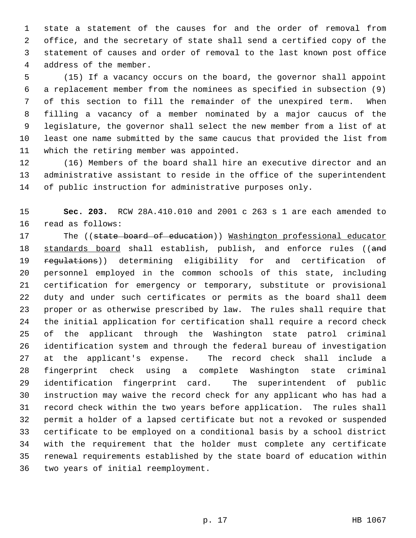state a statement of the causes for and the order of removal from office, and the secretary of state shall send a certified copy of the statement of causes and order of removal to the last known post office address of the member.

 (15) If a vacancy occurs on the board, the governor shall appoint a replacement member from the nominees as specified in subsection (9) of this section to fill the remainder of the unexpired term. When filling a vacancy of a member nominated by a major caucus of the legislature, the governor shall select the new member from a list of at least one name submitted by the same caucus that provided the list from which the retiring member was appointed.

 (16) Members of the board shall hire an executive director and an administrative assistant to reside in the office of the superintendent of public instruction for administrative purposes only.

 **Sec. 203.** RCW 28A.410.010 and 2001 c 263 s 1 are each amended to read as follows:

17 The ((state board of education)) Washington professional educator 18 standards board shall establish, publish, and enforce rules ((and 19 regulations)) determining eligibility for and certification of personnel employed in the common schools of this state, including certification for emergency or temporary, substitute or provisional duty and under such certificates or permits as the board shall deem proper or as otherwise prescribed by law. The rules shall require that the initial application for certification shall require a record check of the applicant through the Washington state patrol criminal identification system and through the federal bureau of investigation at the applicant's expense. The record check shall include a fingerprint check using a complete Washington state criminal identification fingerprint card. The superintendent of public instruction may waive the record check for any applicant who has had a record check within the two years before application. The rules shall permit a holder of a lapsed certificate but not a revoked or suspended certificate to be employed on a conditional basis by a school district with the requirement that the holder must complete any certificate renewal requirements established by the state board of education within two years of initial reemployment.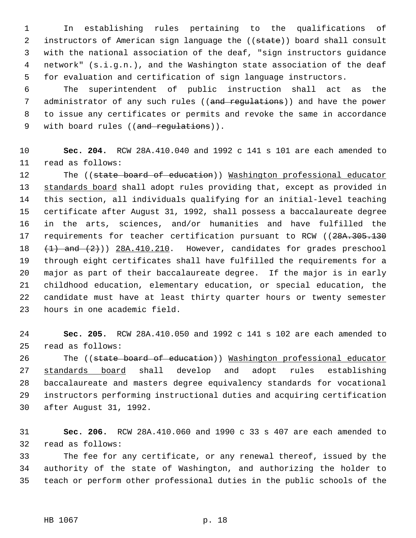In establishing rules pertaining to the qualifications of 2 instructors of American sign language the ((state)) board shall consult with the national association of the deaf, "sign instructors guidance network" (s.i.g.n.), and the Washington state association of the deaf for evaluation and certification of sign language instructors.

 The superintendent of public instruction shall act as the 7 administrator of any such rules ((and regulations)) and have the power to issue any certificates or permits and revoke the same in accordance 9 with board rules ((and regulations)).

 **Sec. 204.** RCW 28A.410.040 and 1992 c 141 s 101 are each amended to read as follows:

12 The ((state board of education)) Washington professional educator 13 standards board shall adopt rules providing that, except as provided in this section, all individuals qualifying for an initial-level teaching certificate after August 31, 1992, shall possess a baccalaureate degree in the arts, sciences, and/or humanities and have fulfilled the 17 requirements for teacher certification pursuant to RCW ((28A.305.130) 18 (1) and (2))) 28A.410.210. However, candidates for grades preschool through eight certificates shall have fulfilled the requirements for a major as part of their baccalaureate degree. If the major is in early childhood education, elementary education, or special education, the candidate must have at least thirty quarter hours or twenty semester hours in one academic field.

 **Sec. 205.** RCW 28A.410.050 and 1992 c 141 s 102 are each amended to read as follows:

26 The ((state board of education)) Washington professional educator standards board shall develop and adopt rules establishing baccalaureate and masters degree equivalency standards for vocational instructors performing instructional duties and acquiring certification after August 31, 1992.

 **Sec. 206.** RCW 28A.410.060 and 1990 c 33 s 407 are each amended to read as follows:

 The fee for any certificate, or any renewal thereof, issued by the authority of the state of Washington, and authorizing the holder to teach or perform other professional duties in the public schools of the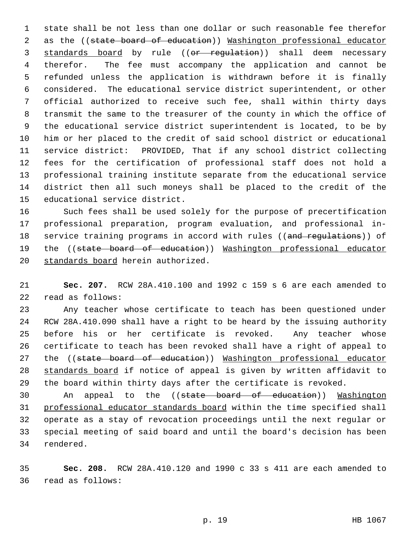state shall be not less than one dollar or such reasonable fee therefor 2 as the ((state board of education)) Washington professional educator 3 standards board by rule ((or regulation)) shall deem necessary therefor. The fee must accompany the application and cannot be refunded unless the application is withdrawn before it is finally considered. The educational service district superintendent, or other official authorized to receive such fee, shall within thirty days transmit the same to the treasurer of the county in which the office of the educational service district superintendent is located, to be by him or her placed to the credit of said school district or educational service district: PROVIDED, That if any school district collecting fees for the certification of professional staff does not hold a professional training institute separate from the educational service district then all such moneys shall be placed to the credit of the educational service district.

 Such fees shall be used solely for the purpose of precertification professional preparation, program evaluation, and professional in-18 service training programs in accord with rules ((and regulations)) of 19 the ((state board of education)) Washington professional educator standards board herein authorized.

 **Sec. 207.** RCW 28A.410.100 and 1992 c 159 s 6 are each amended to read as follows:

 Any teacher whose certificate to teach has been questioned under RCW 28A.410.090 shall have a right to be heard by the issuing authority before his or her certificate is revoked. Any teacher whose certificate to teach has been revoked shall have a right of appeal to 27 the ((state board of education)) Washington professional educator standards board if notice of appeal is given by written affidavit to the board within thirty days after the certificate is revoked.

30 An appeal to the ((state board of education)) Washington professional educator standards board within the time specified shall operate as a stay of revocation proceedings until the next regular or special meeting of said board and until the board's decision has been rendered.

 **Sec. 208.** RCW 28A.410.120 and 1990 c 33 s 411 are each amended to read as follows: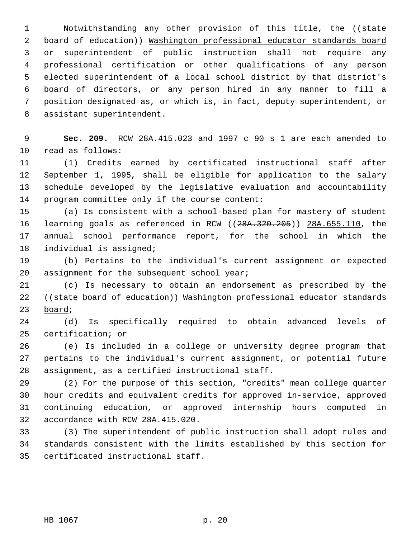1 Notwithstanding any other provision of this title, the ((state board of education)) Washington professional educator standards board or superintendent of public instruction shall not require any professional certification or other qualifications of any person elected superintendent of a local school district by that district's board of directors, or any person hired in any manner to fill a position designated as, or which is, in fact, deputy superintendent, or assistant superintendent.

 **Sec. 209.** RCW 28A.415.023 and 1997 c 90 s 1 are each amended to read as follows:

 (1) Credits earned by certificated instructional staff after September 1, 1995, shall be eligible for application to the salary schedule developed by the legislative evaluation and accountability program committee only if the course content:

 (a) Is consistent with a school-based plan for mastery of student learning goals as referenced in RCW ((28A.320.205)) 28A.655.110, the annual school performance report, for the school in which the individual is assigned;

 (b) Pertains to the individual's current assignment or expected 20 assignment for the subsequent school year;

 (c) Is necessary to obtain an endorsement as prescribed by the 22 ((state board of education)) Washington professional educator standards board;

 (d) Is specifically required to obtain advanced levels of certification; or

 (e) Is included in a college or university degree program that pertains to the individual's current assignment, or potential future assignment, as a certified instructional staff.

 (2) For the purpose of this section, "credits" mean college quarter hour credits and equivalent credits for approved in-service, approved continuing education, or approved internship hours computed in accordance with RCW 28A.415.020.

 (3) The superintendent of public instruction shall adopt rules and standards consistent with the limits established by this section for certificated instructional staff.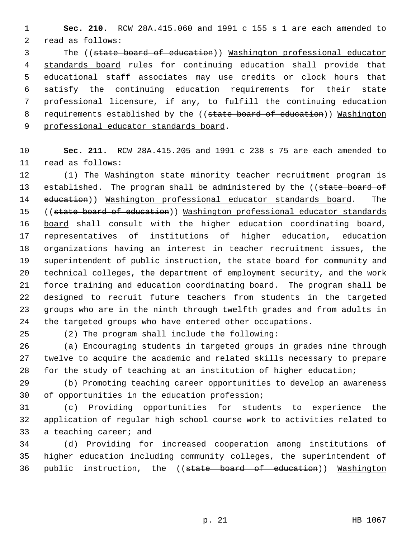**Sec. 210.** RCW 28A.415.060 and 1991 c 155 s 1 are each amended to read as follows:

 The ((state board of education)) Washington professional educator standards board rules for continuing education shall provide that educational staff associates may use credits or clock hours that satisfy the continuing education requirements for their state professional licensure, if any, to fulfill the continuing education 8 requirements established by the ((state board of education)) Washington 9 professional educator standards board.

 **Sec. 211.** RCW 28A.415.205 and 1991 c 238 s 75 are each amended to read as follows:

 (1) The Washington state minority teacher recruitment program is 13 established. The program shall be administered by the ((state board of 14 education)) Washington professional educator standards board. The 15 ((state board of education)) Washington professional educator standards 16 board shall consult with the higher education coordinating board, representatives of institutions of higher education, education organizations having an interest in teacher recruitment issues, the superintendent of public instruction, the state board for community and technical colleges, the department of employment security, and the work force training and education coordinating board. The program shall be designed to recruit future teachers from students in the targeted groups who are in the ninth through twelfth grades and from adults in the targeted groups who have entered other occupations.

(2) The program shall include the following:

 (a) Encouraging students in targeted groups in grades nine through twelve to acquire the academic and related skills necessary to prepare for the study of teaching at an institution of higher education;

 (b) Promoting teaching career opportunities to develop an awareness of opportunities in the education profession;

 (c) Providing opportunities for students to experience the application of regular high school course work to activities related to a teaching career; and

 (d) Providing for increased cooperation among institutions of higher education including community colleges, the superintendent of public instruction, the ((state board of education)) Washington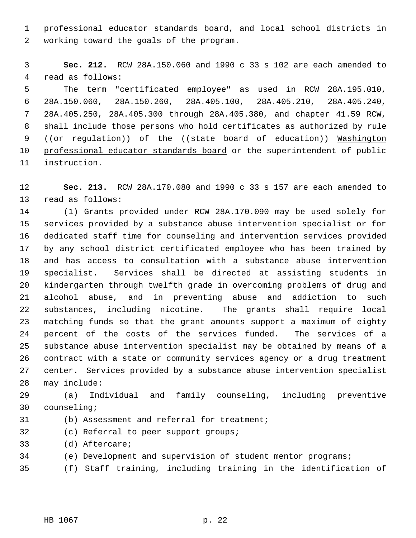1 professional educator standards board, and local school districts in working toward the goals of the program.

 **Sec. 212.** RCW 28A.150.060 and 1990 c 33 s 102 are each amended to read as follows:

 The term "certificated employee" as used in RCW 28A.195.010, 28A.150.060, 28A.150.260, 28A.405.100, 28A.405.210, 28A.405.240, 28A.405.250, 28A.405.300 through 28A.405.380, and chapter 41.59 RCW, shall include those persons who hold certificates as authorized by rule 9 ((or regulation)) of the ((state board of education)) Washington 10 professional educator standards board or the superintendent of public instruction.

 **Sec. 213.** RCW 28A.170.080 and 1990 c 33 s 157 are each amended to read as follows:

 (1) Grants provided under RCW 28A.170.090 may be used solely for services provided by a substance abuse intervention specialist or for dedicated staff time for counseling and intervention services provided by any school district certificated employee who has been trained by and has access to consultation with a substance abuse intervention specialist. Services shall be directed at assisting students in kindergarten through twelfth grade in overcoming problems of drug and alcohol abuse, and in preventing abuse and addiction to such substances, including nicotine. The grants shall require local matching funds so that the grant amounts support a maximum of eighty percent of the costs of the services funded. The services of a substance abuse intervention specialist may be obtained by means of a contract with a state or community services agency or a drug treatment center. Services provided by a substance abuse intervention specialist may include:

 (a) Individual and family counseling, including preventive counseling;

- (b) Assessment and referral for treatment;
- (c) Referral to peer support groups;
- (d) Aftercare;
- (e) Development and supervision of student mentor programs;
- (f) Staff training, including training in the identification of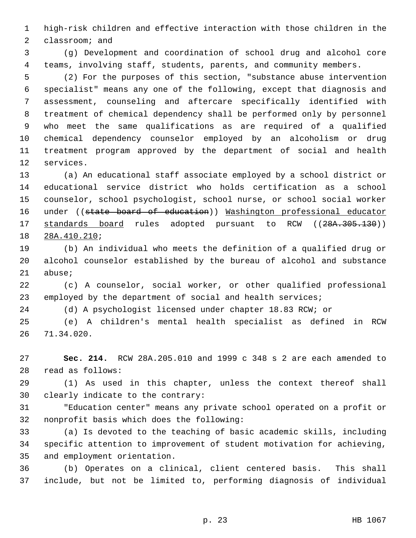high-risk children and effective interaction with those children in the classroom; and

 (g) Development and coordination of school drug and alcohol core teams, involving staff, students, parents, and community members.

 (2) For the purposes of this section, "substance abuse intervention specialist" means any one of the following, except that diagnosis and assessment, counseling and aftercare specifically identified with treatment of chemical dependency shall be performed only by personnel who meet the same qualifications as are required of a qualified chemical dependency counselor employed by an alcoholism or drug treatment program approved by the department of social and health services.

 (a) An educational staff associate employed by a school district or educational service district who holds certification as a school counselor, school psychologist, school nurse, or school social worker 16 under ((state board of education)) Washington professional educator 17 standards board rules adopted pursuant to RCW ((28A.305.130)) 28A.410.210;

 (b) An individual who meets the definition of a qualified drug or alcohol counselor established by the bureau of alcohol and substance abuse;

 (c) A counselor, social worker, or other qualified professional employed by the department of social and health services;

(d) A psychologist licensed under chapter 18.83 RCW; or

 (e) A children's mental health specialist as defined in RCW 71.34.020.

 **Sec. 214.** RCW 28A.205.010 and 1999 c 348 s 2 are each amended to read as follows:

 (1) As used in this chapter, unless the context thereof shall clearly indicate to the contrary:

 "Education center" means any private school operated on a profit or nonprofit basis which does the following:

 (a) Is devoted to the teaching of basic academic skills, including specific attention to improvement of student motivation for achieving, and employment orientation.

 (b) Operates on a clinical, client centered basis. This shall include, but not be limited to, performing diagnosis of individual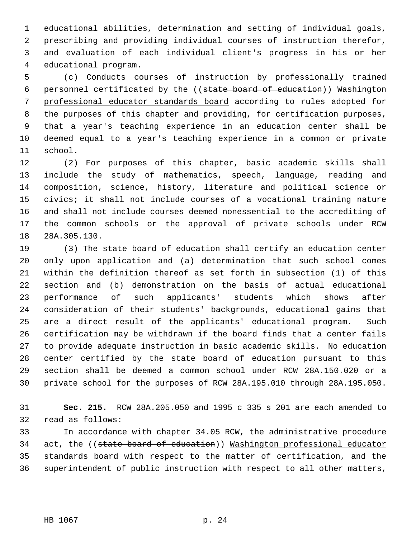educational abilities, determination and setting of individual goals, prescribing and providing individual courses of instruction therefor, and evaluation of each individual client's progress in his or her educational program.

 (c) Conducts courses of instruction by professionally trained personnel certificated by the ((state board of education)) Washington professional educator standards board according to rules adopted for the purposes of this chapter and providing, for certification purposes, that a year's teaching experience in an education center shall be deemed equal to a year's teaching experience in a common or private school.

 (2) For purposes of this chapter, basic academic skills shall include the study of mathematics, speech, language, reading and composition, science, history, literature and political science or civics; it shall not include courses of a vocational training nature and shall not include courses deemed nonessential to the accrediting of the common schools or the approval of private schools under RCW 28A.305.130.

 (3) The state board of education shall certify an education center only upon application and (a) determination that such school comes within the definition thereof as set forth in subsection (1) of this section and (b) demonstration on the basis of actual educational performance of such applicants' students which shows after consideration of their students' backgrounds, educational gains that are a direct result of the applicants' educational program. Such certification may be withdrawn if the board finds that a center fails to provide adequate instruction in basic academic skills. No education center certified by the state board of education pursuant to this section shall be deemed a common school under RCW 28A.150.020 or a private school for the purposes of RCW 28A.195.010 through 28A.195.050.

 **Sec. 215.** RCW 28A.205.050 and 1995 c 335 s 201 are each amended to read as follows:

 In accordance with chapter 34.05 RCW, the administrative procedure 34 act, the ((state board of education)) Washington professional educator standards board with respect to the matter of certification, and the superintendent of public instruction with respect to all other matters,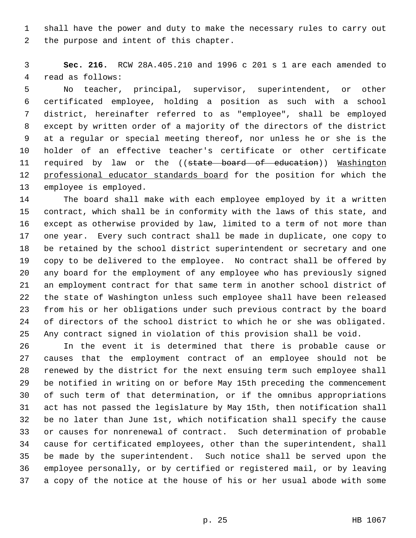shall have the power and duty to make the necessary rules to carry out the purpose and intent of this chapter.

 **Sec. 216.** RCW 28A.405.210 and 1996 c 201 s 1 are each amended to read as follows:

 No teacher, principal, supervisor, superintendent, or other certificated employee, holding a position as such with a school district, hereinafter referred to as "employee", shall be employed except by written order of a majority of the directors of the district at a regular or special meeting thereof, nor unless he or she is the holder of an effective teacher's certificate or other certificate 11 required by law or the ((state board of education)) Washington 12 professional educator standards board for the position for which the employee is employed.

 The board shall make with each employee employed by it a written contract, which shall be in conformity with the laws of this state, and except as otherwise provided by law, limited to a term of not more than one year. Every such contract shall be made in duplicate, one copy to be retained by the school district superintendent or secretary and one copy to be delivered to the employee. No contract shall be offered by any board for the employment of any employee who has previously signed an employment contract for that same term in another school district of the state of Washington unless such employee shall have been released from his or her obligations under such previous contract by the board of directors of the school district to which he or she was obligated. Any contract signed in violation of this provision shall be void.

 In the event it is determined that there is probable cause or causes that the employment contract of an employee should not be renewed by the district for the next ensuing term such employee shall be notified in writing on or before May 15th preceding the commencement of such term of that determination, or if the omnibus appropriations act has not passed the legislature by May 15th, then notification shall be no later than June 1st, which notification shall specify the cause or causes for nonrenewal of contract. Such determination of probable cause for certificated employees, other than the superintendent, shall be made by the superintendent. Such notice shall be served upon the employee personally, or by certified or registered mail, or by leaving a copy of the notice at the house of his or her usual abode with some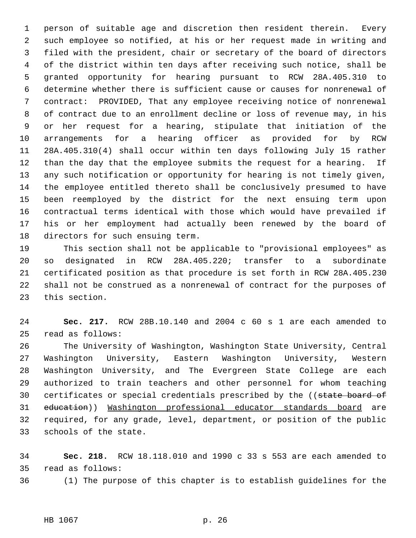person of suitable age and discretion then resident therein. Every such employee so notified, at his or her request made in writing and filed with the president, chair or secretary of the board of directors of the district within ten days after receiving such notice, shall be granted opportunity for hearing pursuant to RCW 28A.405.310 to determine whether there is sufficient cause or causes for nonrenewal of contract: PROVIDED, That any employee receiving notice of nonrenewal of contract due to an enrollment decline or loss of revenue may, in his or her request for a hearing, stipulate that initiation of the arrangements for a hearing officer as provided for by RCW 28A.405.310(4) shall occur within ten days following July 15 rather than the day that the employee submits the request for a hearing. If any such notification or opportunity for hearing is not timely given, the employee entitled thereto shall be conclusively presumed to have been reemployed by the district for the next ensuing term upon contractual terms identical with those which would have prevailed if his or her employment had actually been renewed by the board of directors for such ensuing term.

 This section shall not be applicable to "provisional employees" as so designated in RCW 28A.405.220; transfer to a subordinate certificated position as that procedure is set forth in RCW 28A.405.230 shall not be construed as a nonrenewal of contract for the purposes of this section.

 **Sec. 217.** RCW 28B.10.140 and 2004 c 60 s 1 are each amended to read as follows:

 The University of Washington, Washington State University, Central Washington University, Eastern Washington University, Western Washington University, and The Evergreen State College are each authorized to train teachers and other personnel for whom teaching 30 certificates or special credentials prescribed by the ((state board of education)) Washington professional educator standards board are required, for any grade, level, department, or position of the public schools of the state.

 **Sec. 218.** RCW 18.118.010 and 1990 c 33 s 553 are each amended to read as follows:

(1) The purpose of this chapter is to establish guidelines for the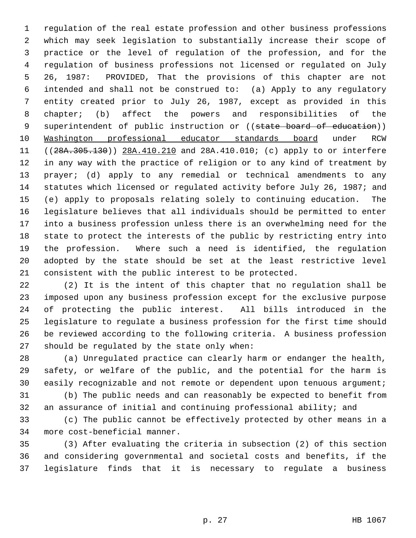regulation of the real estate profession and other business professions which may seek legislation to substantially increase their scope of practice or the level of regulation of the profession, and for the regulation of business professions not licensed or regulated on July 26, 1987: PROVIDED, That the provisions of this chapter are not intended and shall not be construed to: (a) Apply to any regulatory entity created prior to July 26, 1987, except as provided in this chapter; (b) affect the powers and responsibilities of the 9 superintendent of public instruction or ((state board of education)) Washington professional educator standards board under RCW 11 ((28A.305.130)) 28A.410.210 and 28A.410.010; (c) apply to or interfere in any way with the practice of religion or to any kind of treatment by prayer; (d) apply to any remedial or technical amendments to any statutes which licensed or regulated activity before July 26, 1987; and (e) apply to proposals relating solely to continuing education. The legislature believes that all individuals should be permitted to enter into a business profession unless there is an overwhelming need for the state to protect the interests of the public by restricting entry into the profession. Where such a need is identified, the regulation adopted by the state should be set at the least restrictive level consistent with the public interest to be protected.

 (2) It is the intent of this chapter that no regulation shall be imposed upon any business profession except for the exclusive purpose of protecting the public interest. All bills introduced in the legislature to regulate a business profession for the first time should be reviewed according to the following criteria. A business profession should be regulated by the state only when:

 (a) Unregulated practice can clearly harm or endanger the health, safety, or welfare of the public, and the potential for the harm is 30 easily recognizable and not remote or dependent upon tenuous argument;

 (b) The public needs and can reasonably be expected to benefit from an assurance of initial and continuing professional ability; and

 (c) The public cannot be effectively protected by other means in a more cost-beneficial manner.

 (3) After evaluating the criteria in subsection (2) of this section and considering governmental and societal costs and benefits, if the legislature finds that it is necessary to regulate a business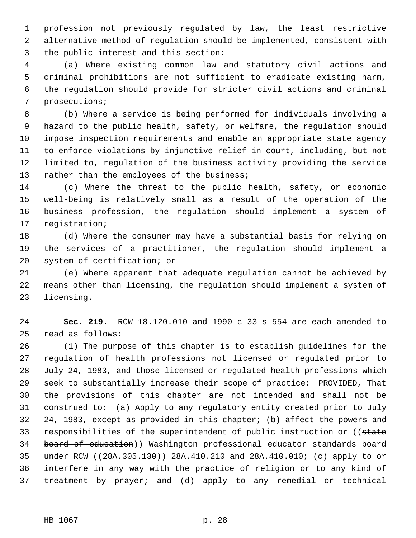profession not previously regulated by law, the least restrictive alternative method of regulation should be implemented, consistent with the public interest and this section:

 (a) Where existing common law and statutory civil actions and criminal prohibitions are not sufficient to eradicate existing harm, the regulation should provide for stricter civil actions and criminal prosecutions;

 (b) Where a service is being performed for individuals involving a hazard to the public health, safety, or welfare, the regulation should impose inspection requirements and enable an appropriate state agency to enforce violations by injunctive relief in court, including, but not limited to, regulation of the business activity providing the service 13 rather than the employees of the business;

 (c) Where the threat to the public health, safety, or economic well-being is relatively small as a result of the operation of the business profession, the regulation should implement a system of registration;

 (d) Where the consumer may have a substantial basis for relying on the services of a practitioner, the regulation should implement a system of certification; or

 (e) Where apparent that adequate regulation cannot be achieved by means other than licensing, the regulation should implement a system of licensing.

 **Sec. 219.** RCW 18.120.010 and 1990 c 33 s 554 are each amended to read as follows:

 (1) The purpose of this chapter is to establish guidelines for the regulation of health professions not licensed or regulated prior to July 24, 1983, and those licensed or regulated health professions which seek to substantially increase their scope of practice: PROVIDED, That the provisions of this chapter are not intended and shall not be construed to: (a) Apply to any regulatory entity created prior to July 24, 1983, except as provided in this chapter; (b) affect the powers and 33 responsibilities of the superintendent of public instruction or ((state board of education)) Washington professional educator standards board under RCW ((28A.305.130)) 28A.410.210 and 28A.410.010; (c) apply to or interfere in any way with the practice of religion or to any kind of treatment by prayer; and (d) apply to any remedial or technical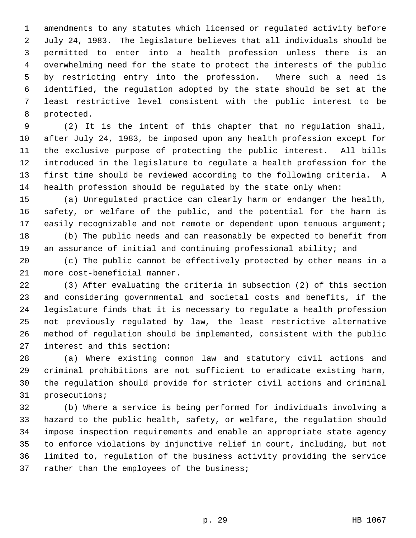amendments to any statutes which licensed or regulated activity before July 24, 1983. The legislature believes that all individuals should be permitted to enter into a health profession unless there is an overwhelming need for the state to protect the interests of the public by restricting entry into the profession. Where such a need is identified, the regulation adopted by the state should be set at the least restrictive level consistent with the public interest to be protected.

 (2) It is the intent of this chapter that no regulation shall, after July 24, 1983, be imposed upon any health profession except for the exclusive purpose of protecting the public interest. All bills introduced in the legislature to regulate a health profession for the first time should be reviewed according to the following criteria. A health profession should be regulated by the state only when:

 (a) Unregulated practice can clearly harm or endanger the health, safety, or welfare of the public, and the potential for the harm is 17 easily recognizable and not remote or dependent upon tenuous argument;

 (b) The public needs and can reasonably be expected to benefit from an assurance of initial and continuing professional ability; and

 (c) The public cannot be effectively protected by other means in a more cost-beneficial manner.

 (3) After evaluating the criteria in subsection (2) of this section and considering governmental and societal costs and benefits, if the legislature finds that it is necessary to regulate a health profession not previously regulated by law, the least restrictive alternative method of regulation should be implemented, consistent with the public interest and this section:

 (a) Where existing common law and statutory civil actions and criminal prohibitions are not sufficient to eradicate existing harm, the regulation should provide for stricter civil actions and criminal prosecutions;

 (b) Where a service is being performed for individuals involving a hazard to the public health, safety, or welfare, the regulation should impose inspection requirements and enable an appropriate state agency to enforce violations by injunctive relief in court, including, but not limited to, regulation of the business activity providing the service 37 rather than the employees of the business;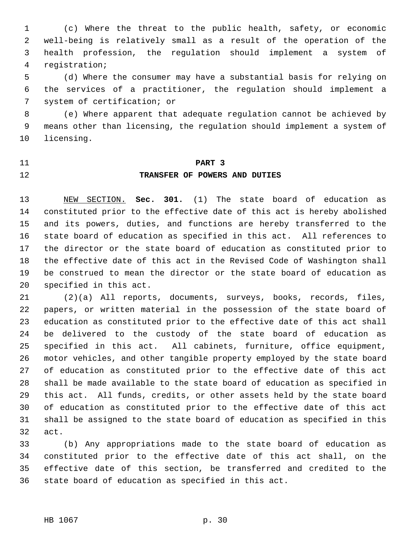(c) Where the threat to the public health, safety, or economic well-being is relatively small as a result of the operation of the health profession, the regulation should implement a system of registration;

 (d) Where the consumer may have a substantial basis for relying on the services of a practitioner, the regulation should implement a system of certification; or

 (e) Where apparent that adequate regulation cannot be achieved by means other than licensing, the regulation should implement a system of licensing.

## **PART 3 TRANSFER OF POWERS AND DUTIES**

 NEW SECTION. **Sec. 301.** (1) The state board of education as constituted prior to the effective date of this act is hereby abolished and its powers, duties, and functions are hereby transferred to the state board of education as specified in this act. All references to the director or the state board of education as constituted prior to the effective date of this act in the Revised Code of Washington shall be construed to mean the director or the state board of education as specified in this act.

 (2)(a) All reports, documents, surveys, books, records, files, papers, or written material in the possession of the state board of education as constituted prior to the effective date of this act shall be delivered to the custody of the state board of education as specified in this act. All cabinets, furniture, office equipment, motor vehicles, and other tangible property employed by the state board of education as constituted prior to the effective date of this act shall be made available to the state board of education as specified in this act. All funds, credits, or other assets held by the state board of education as constituted prior to the effective date of this act shall be assigned to the state board of education as specified in this act.

 (b) Any appropriations made to the state board of education as constituted prior to the effective date of this act shall, on the effective date of this section, be transferred and credited to the state board of education as specified in this act.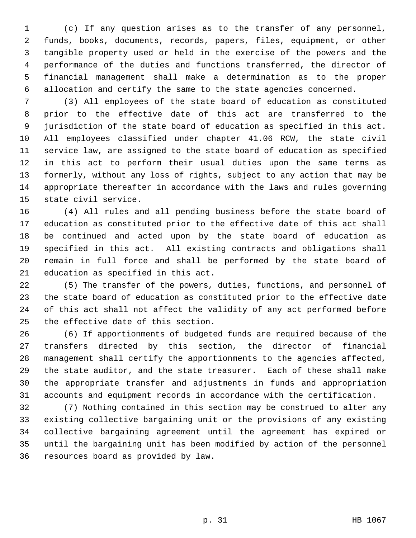(c) If any question arises as to the transfer of any personnel, funds, books, documents, records, papers, files, equipment, or other tangible property used or held in the exercise of the powers and the performance of the duties and functions transferred, the director of financial management shall make a determination as to the proper allocation and certify the same to the state agencies concerned.

 (3) All employees of the state board of education as constituted prior to the effective date of this act are transferred to the jurisdiction of the state board of education as specified in this act. All employees classified under chapter 41.06 RCW, the state civil service law, are assigned to the state board of education as specified in this act to perform their usual duties upon the same terms as formerly, without any loss of rights, subject to any action that may be appropriate thereafter in accordance with the laws and rules governing state civil service.

 (4) All rules and all pending business before the state board of education as constituted prior to the effective date of this act shall be continued and acted upon by the state board of education as specified in this act. All existing contracts and obligations shall remain in full force and shall be performed by the state board of education as specified in this act.

 (5) The transfer of the powers, duties, functions, and personnel of the state board of education as constituted prior to the effective date of this act shall not affect the validity of any act performed before the effective date of this section.

 (6) If apportionments of budgeted funds are required because of the transfers directed by this section, the director of financial management shall certify the apportionments to the agencies affected, the state auditor, and the state treasurer. Each of these shall make the appropriate transfer and adjustments in funds and appropriation accounts and equipment records in accordance with the certification.

 (7) Nothing contained in this section may be construed to alter any existing collective bargaining unit or the provisions of any existing collective bargaining agreement until the agreement has expired or until the bargaining unit has been modified by action of the personnel resources board as provided by law.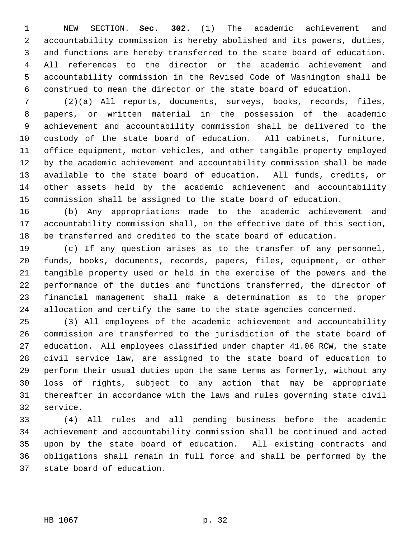NEW SECTION. **Sec. 302.** (1) The academic achievement and accountability commission is hereby abolished and its powers, duties, and functions are hereby transferred to the state board of education. All references to the director or the academic achievement and accountability commission in the Revised Code of Washington shall be construed to mean the director or the state board of education.

 (2)(a) All reports, documents, surveys, books, records, files, papers, or written material in the possession of the academic achievement and accountability commission shall be delivered to the custody of the state board of education. All cabinets, furniture, office equipment, motor vehicles, and other tangible property employed by the academic achievement and accountability commission shall be made available to the state board of education. All funds, credits, or other assets held by the academic achievement and accountability commission shall be assigned to the state board of education.

 (b) Any appropriations made to the academic achievement and accountability commission shall, on the effective date of this section, be transferred and credited to the state board of education.

 (c) If any question arises as to the transfer of any personnel, funds, books, documents, records, papers, files, equipment, or other tangible property used or held in the exercise of the powers and the performance of the duties and functions transferred, the director of financial management shall make a determination as to the proper allocation and certify the same to the state agencies concerned.

 (3) All employees of the academic achievement and accountability commission are transferred to the jurisdiction of the state board of education. All employees classified under chapter 41.06 RCW, the state civil service law, are assigned to the state board of education to perform their usual duties upon the same terms as formerly, without any loss of rights, subject to any action that may be appropriate thereafter in accordance with the laws and rules governing state civil service.

 (4) All rules and all pending business before the academic achievement and accountability commission shall be continued and acted upon by the state board of education. All existing contracts and obligations shall remain in full force and shall be performed by the state board of education.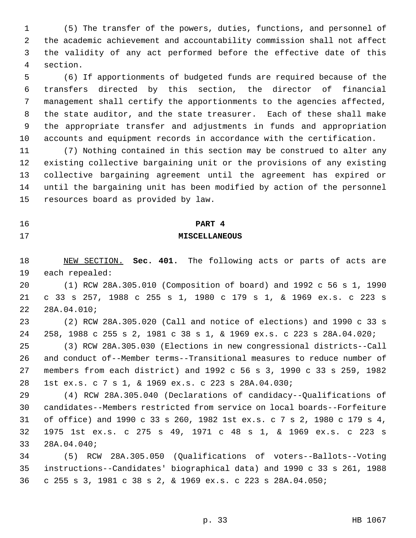(5) The transfer of the powers, duties, functions, and personnel of the academic achievement and accountability commission shall not affect the validity of any act performed before the effective date of this section.

 (6) If apportionments of budgeted funds are required because of the transfers directed by this section, the director of financial management shall certify the apportionments to the agencies affected, the state auditor, and the state treasurer. Each of these shall make the appropriate transfer and adjustments in funds and appropriation accounts and equipment records in accordance with the certification.

 (7) Nothing contained in this section may be construed to alter any existing collective bargaining unit or the provisions of any existing collective bargaining agreement until the agreement has expired or until the bargaining unit has been modified by action of the personnel resources board as provided by law.

### **PART 4**

#### **MISCELLANEOUS**

 NEW SECTION. **Sec. 401.** The following acts or parts of acts are each repealed:

 (1) RCW 28A.305.010 (Composition of board) and 1992 c 56 s 1, 1990 c 33 s 257, 1988 c 255 s 1, 1980 c 179 s 1, & 1969 ex.s. c 223 s 28A.04.010;

 (2) RCW 28A.305.020 (Call and notice of elections) and 1990 c 33 s 258, 1988 c 255 s 2, 1981 c 38 s 1, & 1969 ex.s. c 223 s 28A.04.020;

 (3) RCW 28A.305.030 (Elections in new congressional districts--Call and conduct of--Member terms--Transitional measures to reduce number of members from each district) and 1992 c 56 s 3, 1990 c 33 s 259, 1982 1st ex.s. c 7 s 1, & 1969 ex.s. c 223 s 28A.04.030;

 (4) RCW 28A.305.040 (Declarations of candidacy--Qualifications of candidates--Members restricted from service on local boards--Forfeiture of office) and 1990 c 33 s 260, 1982 1st ex.s. c 7 s 2, 1980 c 179 s 4, 1975 1st ex.s. c 275 s 49, 1971 c 48 s 1, & 1969 ex.s. c 223 s 28A.04.040;

 (5) RCW 28A.305.050 (Qualifications of voters--Ballots--Voting instructions--Candidates' biographical data) and 1990 c 33 s 261, 1988 c 255 s 3, 1981 c 38 s 2, & 1969 ex.s. c 223 s 28A.04.050;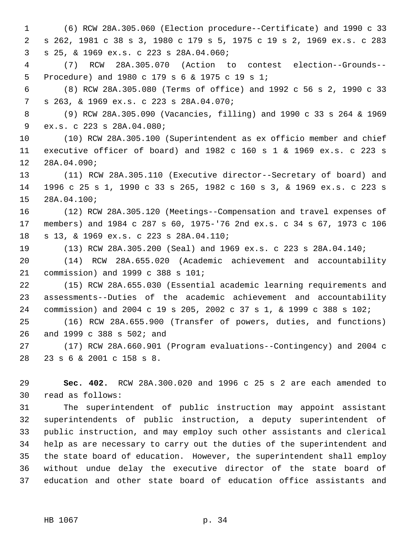(6) RCW 28A.305.060 (Election procedure--Certificate) and 1990 c 33 s 262, 1981 c 38 s 3, 1980 c 179 s 5, 1975 c 19 s 2, 1969 ex.s. c 283 s 25, & 1969 ex.s. c 223 s 28A.04.060;

 (7) RCW 28A.305.070 (Action to contest election--Grounds-- Procedure) and 1980 c 179 s 6 & 1975 c 19 s 1;

 (8) RCW 28A.305.080 (Terms of office) and 1992 c 56 s 2, 1990 c 33 s 263, & 1969 ex.s. c 223 s 28A.04.070;

 (9) RCW 28A.305.090 (Vacancies, filling) and 1990 c 33 s 264 & 1969 ex.s. c 223 s 28A.04.080;

 (10) RCW 28A.305.100 (Superintendent as ex officio member and chief executive officer of board) and 1982 c 160 s 1 & 1969 ex.s. c 223 s 28A.04.090;

 (11) RCW 28A.305.110 (Executive director--Secretary of board) and 1996 c 25 s 1, 1990 c 33 s 265, 1982 c 160 s 3, & 1969 ex.s. c 223 s 28A.04.100;

 (12) RCW 28A.305.120 (Meetings--Compensation and travel expenses of members) and 1984 c 287 s 60, 1975-'76 2nd ex.s. c 34 s 67, 1973 c 106 s 13, & 1969 ex.s. c 223 s 28A.04.110;

(13) RCW 28A.305.200 (Seal) and 1969 ex.s. c 223 s 28A.04.140;

 (14) RCW 28A.655.020 (Academic achievement and accountability commission) and 1999 c 388 s 101;

 (15) RCW 28A.655.030 (Essential academic learning requirements and assessments--Duties of the academic achievement and accountability commission) and 2004 c 19 s 205, 2002 c 37 s 1, & 1999 c 388 s 102;

 (16) RCW 28A.655.900 (Transfer of powers, duties, and functions) and 1999 c 388 s 502; and

 (17) RCW 28A.660.901 (Program evaluations--Contingency) and 2004 c 23 s 6 & 2001 c 158 s 8.

 **Sec. 402.** RCW 28A.300.020 and 1996 c 25 s 2 are each amended to read as follows:

 The superintendent of public instruction may appoint assistant superintendents of public instruction, a deputy superintendent of public instruction, and may employ such other assistants and clerical help as are necessary to carry out the duties of the superintendent and the state board of education. However, the superintendent shall employ without undue delay the executive director of the state board of education and other state board of education office assistants and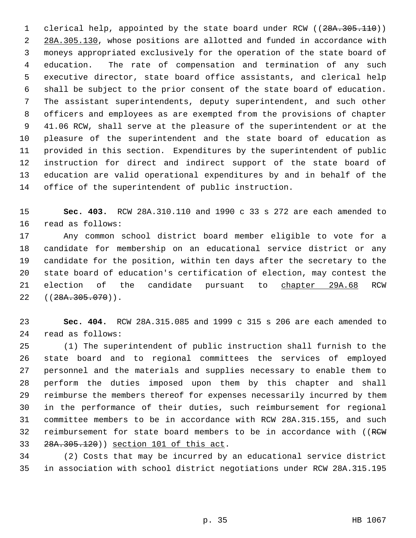1 clerical help, appointed by the state board under RCW ((28A.305.110)) 2 28A.305.130, whose positions are allotted and funded in accordance with moneys appropriated exclusively for the operation of the state board of education. The rate of compensation and termination of any such executive director, state board office assistants, and clerical help shall be subject to the prior consent of the state board of education. The assistant superintendents, deputy superintendent, and such other officers and employees as are exempted from the provisions of chapter 41.06 RCW, shall serve at the pleasure of the superintendent or at the pleasure of the superintendent and the state board of education as provided in this section. Expenditures by the superintendent of public instruction for direct and indirect support of the state board of education are valid operational expenditures by and in behalf of the office of the superintendent of public instruction.

 **Sec. 403.** RCW 28A.310.110 and 1990 c 33 s 272 are each amended to read as follows:

 Any common school district board member eligible to vote for a candidate for membership on an educational service district or any candidate for the position, within ten days after the secretary to the state board of education's certification of election, may contest the 21 election of the candidate pursuant to chapter 29A.68 RCW 22 ((<del>28A.305.070</del>)).

 **Sec. 404.** RCW 28A.315.085 and 1999 c 315 s 206 are each amended to read as follows:

 (1) The superintendent of public instruction shall furnish to the state board and to regional committees the services of employed personnel and the materials and supplies necessary to enable them to perform the duties imposed upon them by this chapter and shall reimburse the members thereof for expenses necessarily incurred by them in the performance of their duties, such reimbursement for regional committee members to be in accordance with RCW 28A.315.155, and such 32 reimbursement for state board members to be in accordance with ((RCW 28A.305.120)) section 101 of this act.

 (2) Costs that may be incurred by an educational service district in association with school district negotiations under RCW 28A.315.195